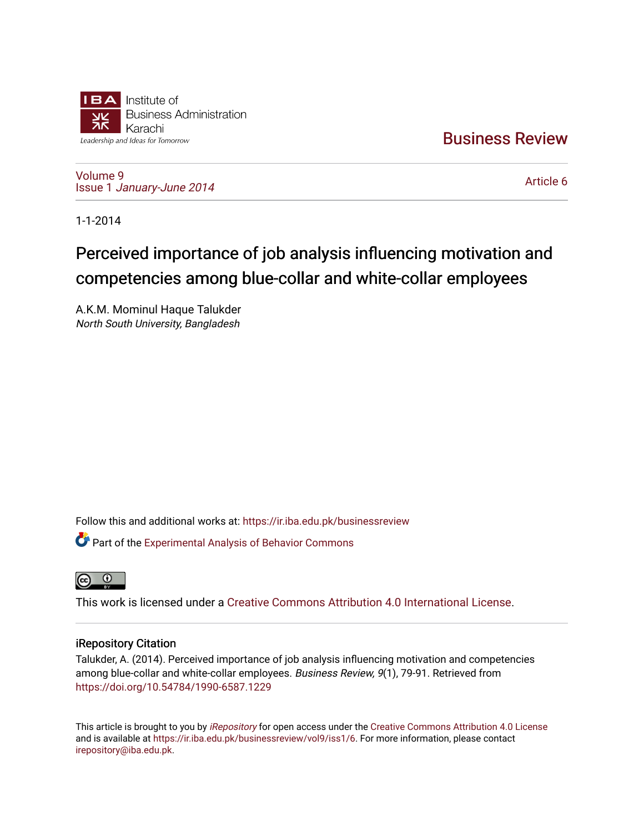

[Business Review](https://ir.iba.edu.pk/businessreview) 

[Volume 9](https://ir.iba.edu.pk/businessreview/vol9) Issue 1 [January-June 2014](https://ir.iba.edu.pk/businessreview/vol9/iss1) 

[Article 6](https://ir.iba.edu.pk/businessreview/vol9/iss1/6) 

1-1-2014

# Perceived importance of job analysis influencing motivation and competencies among blue-collar and white-collar employees

A.K.M. Mominul Haque Talukder North South University, Bangladesh

Follow this and additional works at: [https://ir.iba.edu.pk/businessreview](https://ir.iba.edu.pk/businessreview?utm_source=ir.iba.edu.pk%2Fbusinessreview%2Fvol9%2Fiss1%2F6&utm_medium=PDF&utm_campaign=PDFCoverPages) 

Part of the [Experimental Analysis of Behavior Commons](http://network.bepress.com/hgg/discipline/1236?utm_source=ir.iba.edu.pk%2Fbusinessreview%2Fvol9%2Fiss1%2F6&utm_medium=PDF&utm_campaign=PDFCoverPages) 



This work is licensed under a [Creative Commons Attribution 4.0 International License](https://creativecommons.org/licenses/by/4.0/).

# iRepository Citation

Talukder, A. (2014). Perceived importance of job analysis influencing motivation and competencies among blue-collar and white-collar employees. Business Review, 9(1), 79-91. Retrieved from <https://doi.org/10.54784/1990-6587.1229>

This article is brought to you by [iRepository](https://ir.iba.edu.pk/) for open access under the Creative Commons Attribution 4.0 License and is available at [https://ir.iba.edu.pk/businessreview/vol9/iss1/6.](https://ir.iba.edu.pk/businessreview/vol9/iss1/6) For more information, please contact [irepository@iba.edu.pk.](mailto:irepository@iba.edu.pk)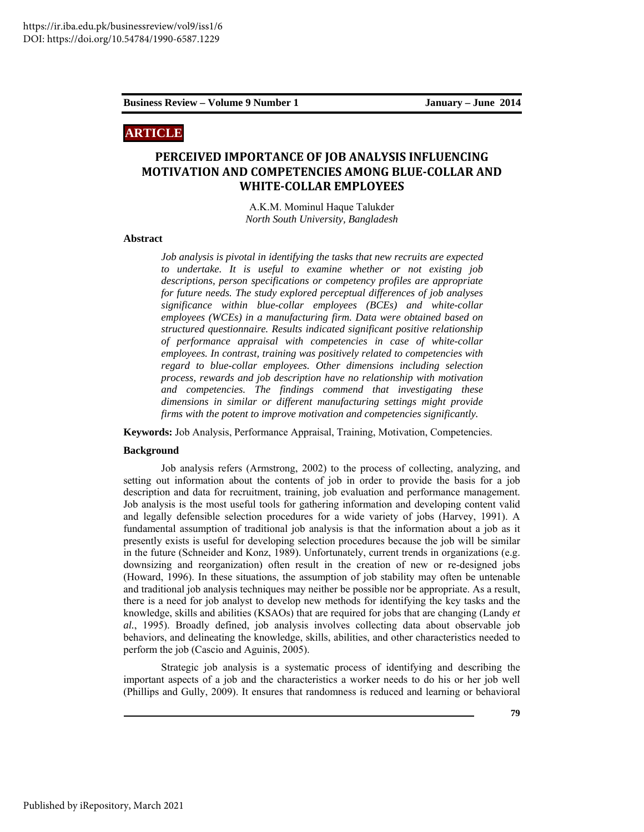# **ARTICLE**

# **PERCEIVED IMPORTANCE OF JOB ANALYSIS INFLUENCING MOTIVATION AND COMPETENCIES AMONG BLUE-COLLAR AND WHITE-COLLAR EMPLOYEES**

A.K.M. Mominul Haque Talukder *North South University, Bangladesh* 

### **Abstract**

*Job analysis is pivotal in identifying the tasks that new recruits are expected to undertake. It is useful to examine whether or not existing job descriptions, person specifications or competency profiles are appropriate for future needs. The study explored perceptual differences of job analyses significance within blue-collar employees (BCEs) and white-collar employees (WCEs) in a manufacturing firm. Data were obtained based on structured questionnaire. Results indicated significant positive relationship of performance appraisal with competencies in case of white-collar employees. In contrast, training was positively related to competencies with regard to blue-collar employees. Other dimensions including selection process, rewards and job description have no relationship with motivation and competencies. The findings commend that investigating these dimensions in similar or different manufacturing settings might provide firms with the potent to improve motivation and competencies significantly.* 

**Keywords:** Job Analysis, Performance Appraisal, Training, Motivation, Competencies.

#### **Background**

Job analysis refers (Armstrong, 2002) to the process of collecting, analyzing, and setting out information about the contents of job in order to provide the basis for a job description and data for recruitment, training, job evaluation and performance management. Job analysis is the most useful tools for gathering information and developing content valid and legally defensible selection procedures for a wide variety of jobs (Harvey, 1991). A fundamental assumption of traditional job analysis is that the information about a job as it presently exists is useful for developing selection procedures because the job will be similar in the future (Schneider and Konz, 1989). Unfortunately, current trends in organizations (e.g. downsizing and reorganization) often result in the creation of new or re-designed jobs (Howard, 1996). In these situations, the assumption of job stability may often be untenable and traditional job analysis techniques may neither be possible nor be appropriate. As a result, there is a need for job analyst to develop new methods for identifying the key tasks and the knowledge, skills and abilities (KSAOs) that are required for jobs that are changing (Landy *et al.*, 1995). Broadly defined, job analysis involves collecting data about observable job behaviors, and delineating the knowledge, skills, abilities, and other characteristics needed to perform the job (Cascio and Aguinis, 2005).

Strategic job analysis is a systematic process of identifying and describing the important aspects of a job and the characteristics a worker needs to do his or her job well (Phillips and Gully, 2009). It ensures that randomness is reduced and learning or behavioral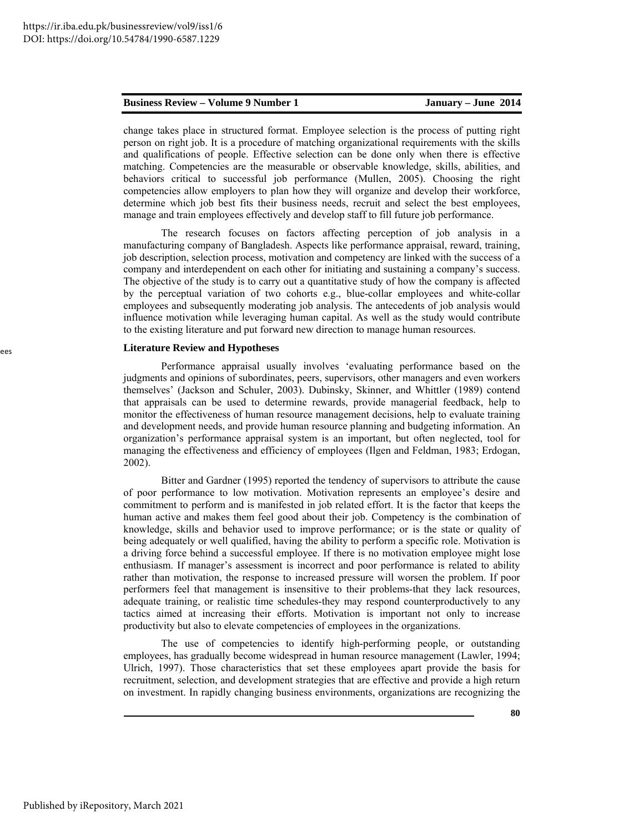change takes place in structured format. Employee selection is the process of putting right person on right job. It is a procedure of matching organizational requirements with the skills and qualifications of people. Effective selection can be done only when there is effective matching. Competencies are the measurable or observable knowledge, skills, abilities, and behaviors critical to successful job performance (Mullen, 2005). Choosing the right competencies allow employers to plan how they will organize and develop their workforce, determine which job best fits their business needs, recruit and select the best employees, manage and train employees effectively and develop staff to fill future job performance.

The research focuses on factors affecting perception of job analysis in a manufacturing company of Bangladesh. Aspects like performance appraisal, reward, training, job description, selection process, motivation and competency are linked with the success of a company and interdependent on each other for initiating and sustaining a company's success. The objective of the study is to carry out a quantitative study of how the company is affected by the perceptual variation of two cohorts e.g., blue-collar employees and white-collar employees and subsequently moderating job analysis. The antecedents of job analysis would influence motivation while leveraging human capital. As well as the study would contribute to the existing literature and put forward new direction to manage human resources.

### **Literature Review and Hypotheses**

Performance appraisal usually involves 'evaluating performance based on the judgments and opinions of subordinates, peers, supervisors, other managers and even workers themselves' (Jackson and Schuler, 2003). Dubinsky, Skinner, and Whittler (1989) contend that appraisals can be used to determine rewards, provide managerial feedback, help to monitor the effectiveness of human resource management decisions, help to evaluate training and development needs, and provide human resource planning and budgeting information. An organization's performance appraisal system is an important, but often neglected, tool for managing the effectiveness and efficiency of employees (Ilgen and Feldman, 1983; Erdogan, 2002).

Bitter and Gardner (1995) reported the tendency of supervisors to attribute the cause of poor performance to low motivation. Motivation represents an employee's desire and commitment to perform and is manifested in job related effort. It is the factor that keeps the human active and makes them feel good about their job. Competency is the combination of knowledge, skills and behavior used to improve performance; or is the state or quality of being adequately or well qualified, having the ability to perform a specific role. Motivation is a driving force behind a successful employee. If there is no motivation employee might lose enthusiasm. If manager's assessment is incorrect and poor performance is related to ability rather than motivation, the response to increased pressure will worsen the problem. If poor performers feel that management is insensitive to their problems-that they lack resources, adequate training, or realistic time schedules-they may respond counterproductively to any tactics aimed at increasing their efforts. Motivation is important not only to increase productivity but also to elevate competencies of employees in the organizations.

The use of competencies to identify high-performing people, or outstanding employees, has gradually become widespread in human resource management (Lawler, 1994; Ulrich, 1997). Those characteristics that set these employees apart provide the basis for recruitment, selection, and development strategies that are effective and provide a high return on investment. In rapidly changing business environments, organizations are recognizing the

**80**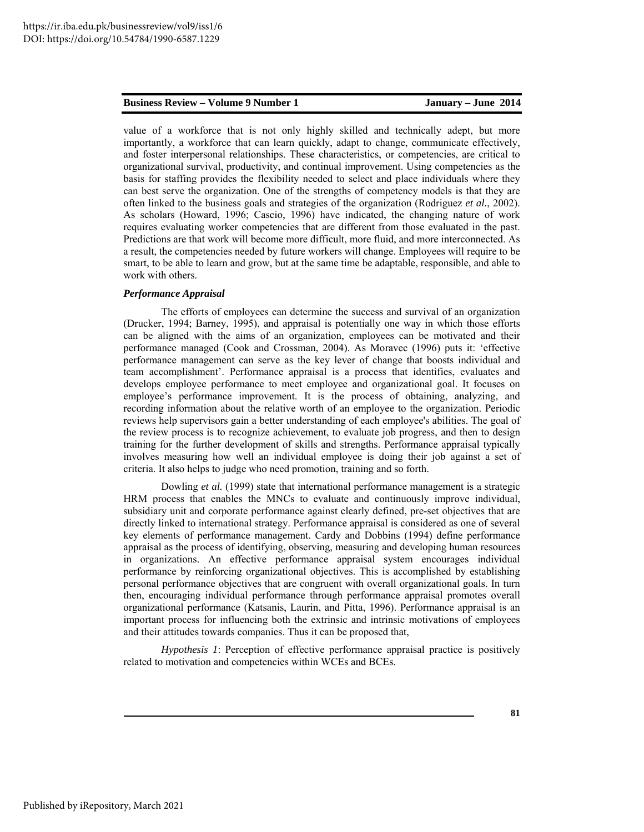value of a workforce that is not only highly skilled and technically adept, but more importantly, a workforce that can learn quickly, adapt to change, communicate effectively, and foster interpersonal relationships. These characteristics, or competencies, are critical to organizational survival, productivity, and continual improvement. Using competencies as the basis for staffing provides the flexibility needed to select and place individuals where they can best serve the organization. One of the strengths of competency models is that they are often linked to the business goals and strategies of the organization (Rodriguez *et al.*, 2002). As scholars (Howard, 1996; Cascio, 1996) have indicated, the changing nature of work requires evaluating worker competencies that are different from those evaluated in the past. Predictions are that work will become more difficult, more fluid, and more interconnected. As a result, the competencies needed by future workers will change. Employees will require to be smart, to be able to learn and grow, but at the same time be adaptable, responsible, and able to work with others.

#### *Performance Appraisal*

The efforts of employees can determine the success and survival of an organization (Drucker, 1994; Barney, 1995), and appraisal is potentially one way in which those efforts can be aligned with the aims of an organization, employees can be motivated and their performance managed (Cook and Crossman, 2004). As Moravec (1996) puts it: 'effective performance management can serve as the key lever of change that boosts individual and team accomplishment'. Performance appraisal is a process that identifies, evaluates and develops employee performance to meet employee and organizational goal. It focuses on employee's performance improvement. It is the process of obtaining, analyzing, and recording information about the relative worth of an employee to the organization. Periodic reviews help supervisors gain a better understanding of each employee's abilities. The goal of the review process is to recognize achievement, to evaluate job progress, and then to design training for the further development of skills and strengths. Performance appraisal typically involves measuring how well an individual employee is doing their job against a set of criteria. It also helps to judge who need promotion, training and so forth.

Dowling *et al.* (1999) state that international performance management is a strategic HRM process that enables the MNCs to evaluate and continuously improve individual, subsidiary unit and corporate performance against clearly defined, pre-set objectives that are directly linked to international strategy. Performance appraisal is considered as one of several key elements of performance management. Cardy and Dobbins (1994) define performance appraisal as the process of identifying, observing, measuring and developing human resources in organizations. An effective performance appraisal system encourages individual performance by reinforcing organizational objectives. This is accomplished by establishing personal performance objectives that are congruent with overall organizational goals. In turn then, encouraging individual performance through performance appraisal promotes overall organizational performance (Katsanis, Laurin, and Pitta, 1996). Performance appraisal is an important process for influencing both the extrinsic and intrinsic motivations of employees and their attitudes towards companies. Thus it can be proposed that,

*Hypothesis 1*: Perception of effective performance appraisal practice is positively related to motivation and competencies within WCEs and BCEs.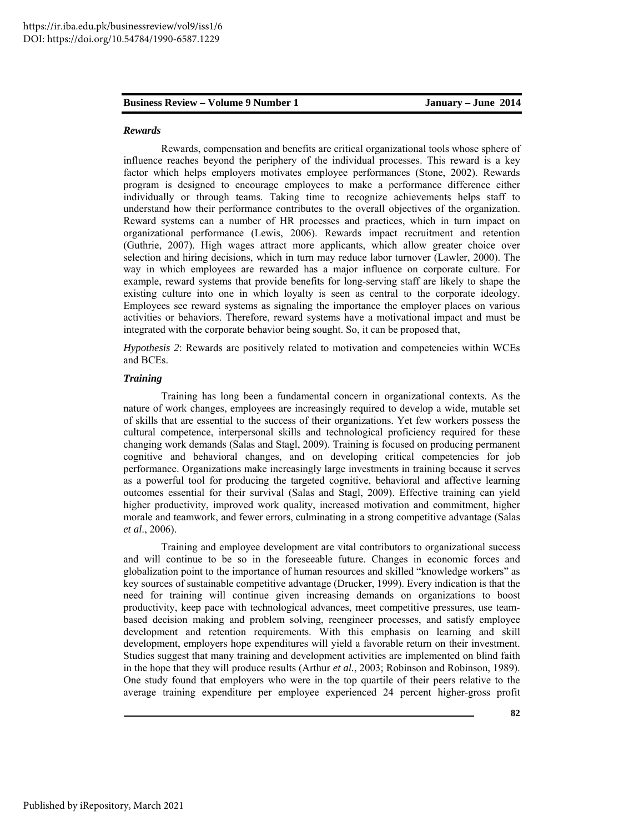#### *Rewards*

Rewards, compensation and benefits are critical organizational tools whose sphere of influence reaches beyond the periphery of the individual processes. This reward is a key factor which helps employers motivates employee performances (Stone, 2002). Rewards program is designed to encourage employees to make a performance difference either individually or through teams. Taking time to recognize achievements helps staff to understand how their performance contributes to the overall objectives of the organization. Reward systems can a number of HR processes and practices, which in turn impact on organizational performance (Lewis, 2006). Rewards impact recruitment and retention (Guthrie, 2007). High wages attract more applicants, which allow greater choice over selection and hiring decisions, which in turn may reduce labor turnover (Lawler, 2000). The way in which employees are rewarded has a major influence on corporate culture. For example, reward systems that provide benefits for long-serving staff are likely to shape the existing culture into one in which loyalty is seen as central to the corporate ideology. Employees see reward systems as signaling the importance the employer places on various activities or behaviors. Therefore, reward systems have a motivational impact and must be integrated with the corporate behavior being sought. So, it can be proposed that,

*Hypothesis 2*: Rewards are positively related to motivation and competencies within WCEs and BCEs.

### *Training*

Training has long been a fundamental concern in organizational contexts. As the nature of work changes, employees are increasingly required to develop a wide, mutable set of skills that are essential to the success of their organizations. Yet few workers possess the cultural competence, interpersonal skills and technological proficiency required for these changing work demands (Salas and Stagl, 2009). Training is focused on producing permanent cognitive and behavioral changes, and on developing critical competencies for job performance. Organizations make increasingly large investments in training because it serves as a powerful tool for producing the targeted cognitive, behavioral and affective learning outcomes essential for their survival (Salas and Stagl, 2009). Effective training can yield higher productivity, improved work quality, increased motivation and commitment, higher morale and teamwork, and fewer errors, culminating in a strong competitive advantage (Salas *et al*., 2006).

Training and employee development are vital contributors to organizational success and will continue to be so in the foreseeable future. Changes in economic forces and globalization point to the importance of human resources and skilled "knowledge workers" as key sources of sustainable competitive advantage (Drucker, 1999). Every indication is that the need for training will continue given increasing demands on organizations to boost productivity, keep pace with technological advances, meet competitive pressures, use teambased decision making and problem solving, reengineer processes, and satisfy employee development and retention requirements. With this emphasis on learning and skill development, employers hope expenditures will yield a favorable return on their investment. Studies suggest that many training and development activities are implemented on blind faith in the hope that they will produce results (Arthur *et al.*, 2003; Robinson and Robinson, 1989). One study found that employers who were in the top quartile of their peers relative to the average training expenditure per employee experienced 24 percent higher-gross profit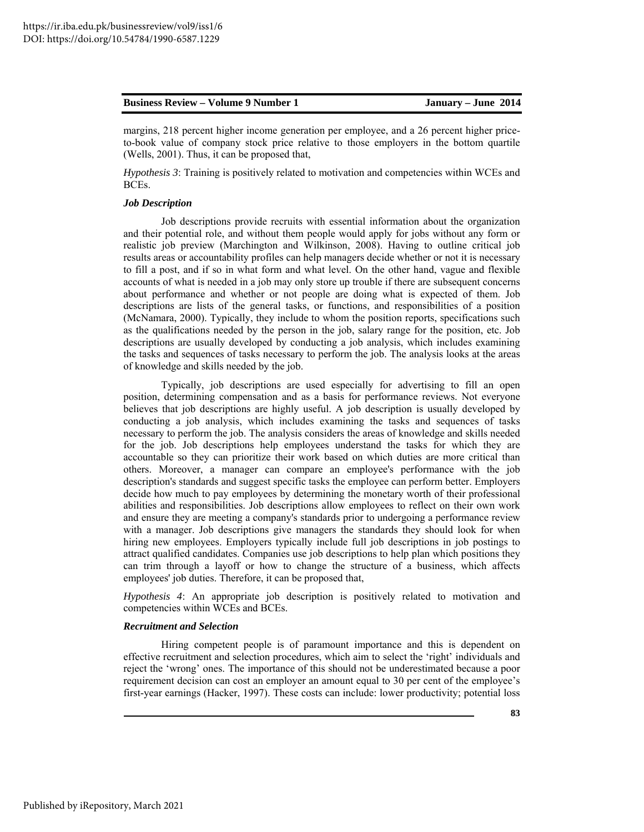margins, 218 percent higher income generation per employee, and a 26 percent higher priceto-book value of company stock price relative to those employers in the bottom quartile (Wells, 2001). Thus, it can be proposed that,

*Hypothesis 3*: Training is positively related to motivation and competencies within WCEs and BCEs.

#### *Job Description*

Job descriptions provide recruits with essential information about the organization and their potential role, and without them people would apply for jobs without any form or realistic job preview (Marchington and Wilkinson, 2008). Having to outline critical job results areas or accountability profiles can help managers decide whether or not it is necessary to fill a post, and if so in what form and what level. On the other hand, vague and flexible accounts of what is needed in a job may only store up trouble if there are subsequent concerns about performance and whether or not people are doing what is expected of them. Job descriptions are lists of the general tasks, or functions, and responsibilities of a position (McNamara, 2000). Typically, they include to whom the position reports, specifications such as the qualifications needed by the person in the job, salary range for the position, etc. Job descriptions are usually developed by conducting a job analysis, which includes examining the tasks and sequences of tasks necessary to perform the job. The analysis looks at the areas of knowledge and skills needed by the job.

Typically, job descriptions are used especially for advertising to fill an open position, determining compensation and as a basis for performance reviews. Not everyone believes that job descriptions are highly useful. A job description is usually developed by conducting a job analysis, which includes examining the tasks and sequences of tasks necessary to perform the job. The analysis considers the areas of knowledge and skills needed for the job. Job descriptions help employees understand the tasks for which they are accountable so they can prioritize their work based on which duties are more critical than others. Moreover, a manager can compare an employee's performance with the job description's standards and suggest specific tasks the employee can perform better. Employers decide how much to pay employees by determining the monetary worth of their professional abilities and responsibilities. Job descriptions allow employees to reflect on their own work and ensure they are meeting a company's standards prior to undergoing a performance review with a manager. Job descriptions give managers the standards they should look for when hiring new employees. Employers typically include full job descriptions in job postings to attract qualified candidates. Companies use job descriptions to help plan which positions they can trim through a layoff or how to change the structure of a business, which affects employees' job duties. Therefore, it can be proposed that,

*Hypothesis 4*: An appropriate job description is positively related to motivation and competencies within WCEs and BCEs.

#### *Recruitment and Selection*

Hiring competent people is of paramount importance and this is dependent on effective recruitment and selection procedures, which aim to select the 'right' individuals and reject the 'wrong' ones. The importance of this should not be underestimated because a poor requirement decision can cost an employer an amount equal to 30 per cent of the employee's first-year earnings (Hacker, 1997). These costs can include: lower productivity; potential loss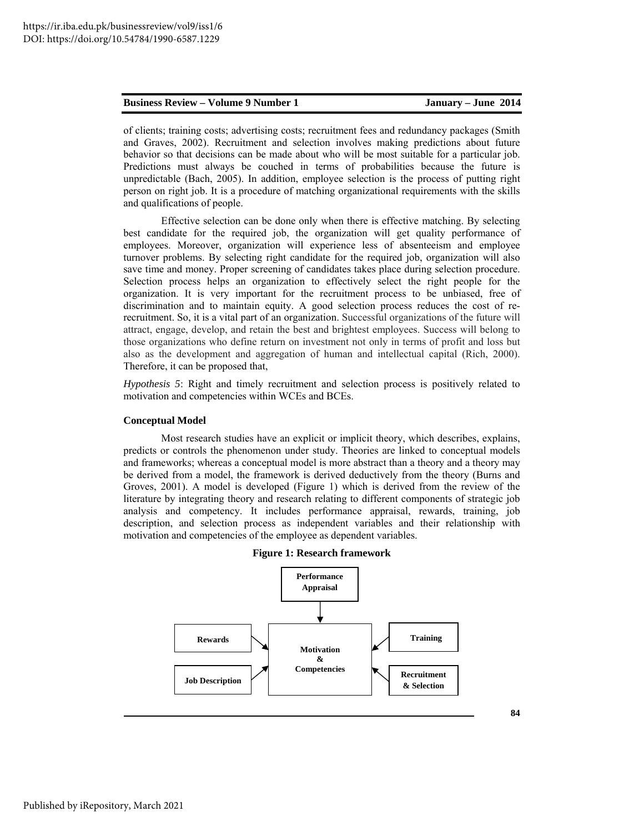**84** 

of clients; training costs; advertising costs; recruitment fees and redundancy packages (Smith and Graves, 2002). Recruitment and selection involves making predictions about future behavior so that decisions can be made about who will be most suitable for a particular job. Predictions must always be couched in terms of probabilities because the future is unpredictable (Bach, 2005). In addition, employee selection is the process of putting right person on right job. It is a procedure of matching organizational requirements with the skills and qualifications of people.

Effective selection can be done only when there is effective matching. By selecting best candidate for the required job, the organization will get quality performance of employees. Moreover, organization will experience less of absenteeism and employee turnover problems. By selecting right candidate for the required job, organization will also save time and money. Proper screening of candidates takes place during selection procedure. Selection process helps an organization to effectively select the right people for the organization. It is very important for the recruitment process to be unbiased, free of discrimination and to maintain equity. A good selection process reduces the cost of rerecruitment. So, it is a vital part of an organization. Successful organizations of the future will attract, engage, develop, and retain the best and brightest employees. Success will belong to those organizations who define return on investment not only in terms of profit and loss but also as the development and aggregation of human and intellectual capital (Rich, 2000). Therefore, it can be proposed that,

*Hypothesis 5*: Right and timely recruitment and selection process is positively related to motivation and competencies within WCEs and BCEs.

#### **Conceptual Model**

Most research studies have an explicit or implicit theory, which describes, explains, predicts or controls the phenomenon under study. Theories are linked to conceptual models and frameworks; whereas a conceptual model is more abstract than a theory and a theory may be derived from a model, the framework is derived deductively from the theory (Burns and Groves, 2001). A model is developed (Figure 1) which is derived from the review of the literature by integrating theory and research relating to different components of strategic job analysis and competency. It includes performance appraisal, rewards, training, job description, and selection process as independent variables and their relationship with motivation and competencies of the employee as dependent variables.



**Figure 1: Research framework**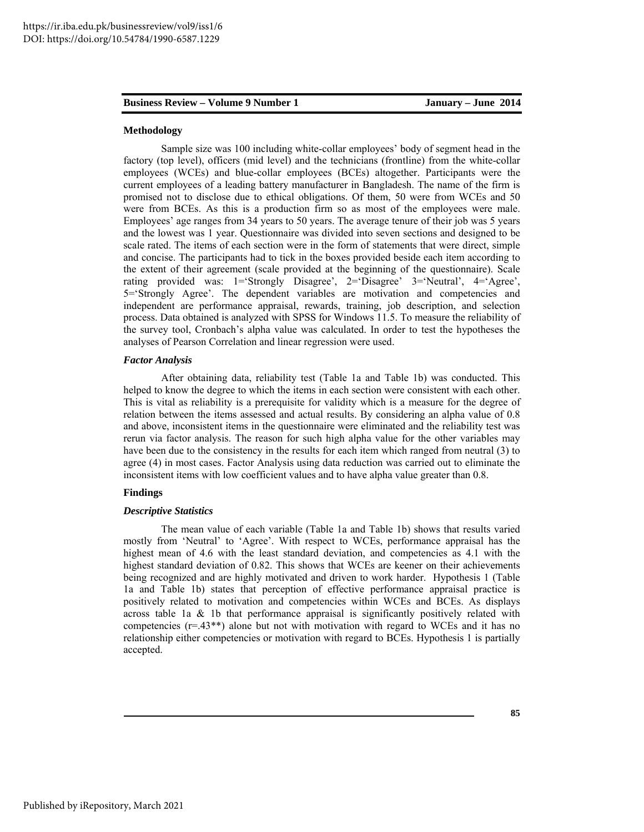#### **Methodology**

Sample size was 100 including white-collar employees' body of segment head in the factory (top level), officers (mid level) and the technicians (frontline) from the white-collar employees (WCEs) and blue-collar employees (BCEs) altogether. Participants were the current employees of a leading battery manufacturer in Bangladesh. The name of the firm is promised not to disclose due to ethical obligations. Of them, 50 were from WCEs and 50 were from BCEs. As this is a production firm so as most of the employees were male. Employees' age ranges from 34 years to 50 years. The average tenure of their job was 5 years and the lowest was 1 year. Questionnaire was divided into seven sections and designed to be scale rated. The items of each section were in the form of statements that were direct, simple and concise. The participants had to tick in the boxes provided beside each item according to the extent of their agreement (scale provided at the beginning of the questionnaire). Scale rating provided was: 1='Strongly Disagree', 2='Disagree' 3='Neutral', 4='Agree', 5='Strongly Agree'. The dependent variables are motivation and competencies and independent are performance appraisal, rewards, training, job description, and selection process. Data obtained is analyzed with SPSS for Windows 11.5. To measure the reliability of the survey tool, Cronbach's alpha value was calculated. In order to test the hypotheses the analyses of Pearson Correlation and linear regression were used.

#### *Factor Analysis*

After obtaining data, reliability test (Table 1a and Table 1b) was conducted. This helped to know the degree to which the items in each section were consistent with each other. This is vital as reliability is a prerequisite for validity which is a measure for the degree of relation between the items assessed and actual results. By considering an alpha value of 0.8 and above, inconsistent items in the questionnaire were eliminated and the reliability test was rerun via factor analysis. The reason for such high alpha value for the other variables may have been due to the consistency in the results for each item which ranged from neutral (3) to agree (4) in most cases. Factor Analysis using data reduction was carried out to eliminate the inconsistent items with low coefficient values and to have alpha value greater than 0.8.

### **Findings**

#### *Descriptive Statistics*

The mean value of each variable (Table 1a and Table 1b) shows that results varied mostly from 'Neutral' to 'Agree'. With respect to WCEs, performance appraisal has the highest mean of 4.6 with the least standard deviation, and competencies as 4.1 with the highest standard deviation of 0.82. This shows that WCEs are keener on their achievements being recognized and are highly motivated and driven to work harder. Hypothesis 1 (Table 1a and Table 1b) states that perception of effective performance appraisal practice is positively related to motivation and competencies within WCEs and BCEs. As displays across table 1a  $\&$  1b that performance appraisal is significantly positively related with competencies  $(r=.43^{**})$  alone but not with motivation with regard to WCEs and it has no relationship either competencies or motivation with regard to BCEs. Hypothesis 1 is partially accepted.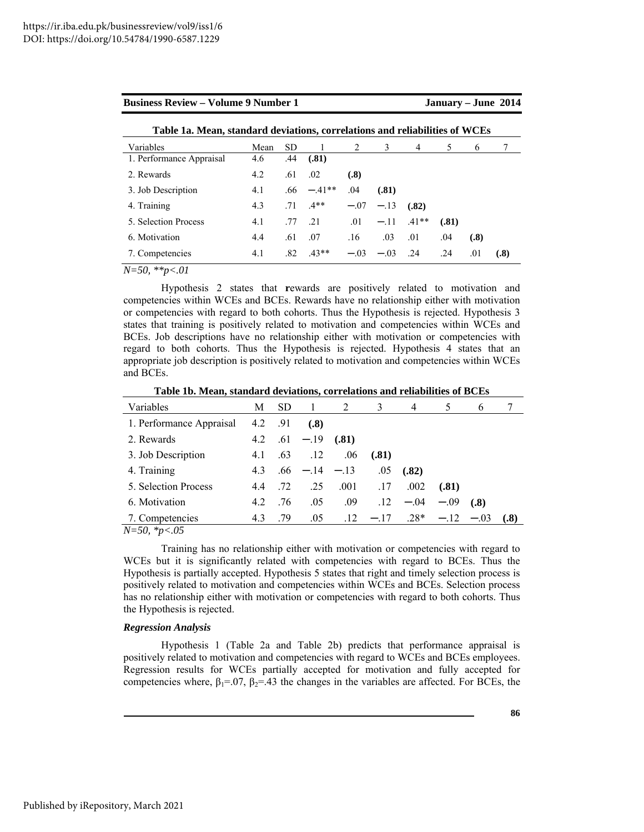| <b>Business Review – Volume 9 Number 1</b>                                  |      |     |         |                |              |                    | January – June 2014 |      |      |  |
|-----------------------------------------------------------------------------|------|-----|---------|----------------|--------------|--------------------|---------------------|------|------|--|
| Table 1a. Mean, standard deviations, correlations and reliabilities of WCEs |      |     |         |                |              |                    |                     |      |      |  |
| Variables                                                                   | Mean | SD. | 1       | $\mathfrak{D}$ | 3            | 4                  | 5                   | 6    |      |  |
| 1. Performance Appraisal                                                    | 4.6  | .44 | (.81)   |                |              |                    |                     |      |      |  |
| 2. Rewards                                                                  | 4.2  | .61 | .02     | (.8)           |              |                    |                     |      |      |  |
| 3. Job Description                                                          | 4.1  | .66 | $-41**$ | .04            | (.81)        |                    |                     |      |      |  |
| 4. Training                                                                 | 4.3  | .71 | $4**$   | $-.07$         | $-.13$       | (.82)              |                     |      |      |  |
| 5 Selection Process                                                         | 4.1  | .77 | 21      | .01            |              | $-.11 \quad .41**$ | (.81)               |      |      |  |
| 6. Motivation                                                               | 4.4  | .61 | .07     | .16            | .03          | .01                | .04                 | (.8) |      |  |
| 7. Competencies                                                             | 4.1  | .82 | $43**$  |                | $-03 -03$ 24 |                    | .24                 | .01  | (.8) |  |

*N=50, \*\*p<.01*

Hypothesis 2 states that **r**ewards are positively related to motivation and competencies within WCEs and BCEs. Rewards have no relationship either with motivation or competencies with regard to both cohorts. Thus the Hypothesis is rejected. Hypothesis 3 states that training is positively related to motivation and competencies within WCEs and BCEs. Job descriptions have no relationship either with motivation or competencies with regard to both cohorts. Thus the Hypothesis is rejected. Hypothesis 4 states that an appropriate job description is positively related to motivation and competencies within WCEs and BCEs.

**Table 1b. Mean, standard deviations, correlations and reliabilities of BCEs** 

| Variables                                                                                        | М   | <b>SD</b> | -1              | 2     | 3      | 4      | 5      | 6      |      |
|--------------------------------------------------------------------------------------------------|-----|-----------|-----------------|-------|--------|--------|--------|--------|------|
| 1. Performance Appraisal                                                                         | 4.2 | .91       | (.8)            |       |        |        |        |        |      |
| 2. Rewards                                                                                       | 4.2 |           | $.61 - .19$     | (.81) |        |        |        |        |      |
| 3. Job Description                                                                               | 4.1 | .63       | .12             | .06   | (.81)  |        |        |        |      |
| 4. Training                                                                                      | 4.3 |           | $.66 - 14 - 13$ |       | .05    | (.82)  |        |        |      |
| 5. Selection Process                                                                             | 4.4 | .72       | .25             | .001  | .17    | .002   | (.81)  |        |      |
| 6. Motivation                                                                                    | 4.2 | .76       | .05             | .09   | .12    | $-.04$ | $-.09$ | (.8)   |      |
| 7. Competencies<br>$\mathbf{M}$ $\mathbf{L}$ $\mathbf{A}$ $\mathbf{L}$ $\mathbf{A}$ $\mathbf{L}$ | 4.3 | .79       | .05             | .12   | $-.17$ | $.28*$ | $-.12$ | $-.03$ | (.8) |

*N=50, \*p<.05*

Training has no relationship either with motivation or competencies with regard to WCEs but it is significantly related with competencies with regard to BCEs. Thus the Hypothesis is partially accepted. Hypothesis 5 states that right and timely selection process is positively related to motivation and competencies within WCEs and BCEs. Selection process has no relationship either with motivation or competencies with regard to both cohorts. Thus the Hypothesis is rejected.

#### *Regression Analysis*

Hypothesis 1 (Table 2a and Table 2b) predicts that performance appraisal is positively related to motivation and competencies with regard to WCEs and BCEs employees. Regression results for WCEs partially accepted for motivation and fully accepted for competencies where,  $\beta_1 = 0.07$ ,  $\beta_2 = 0.43$  the changes in the variables are affected. For BCEs, the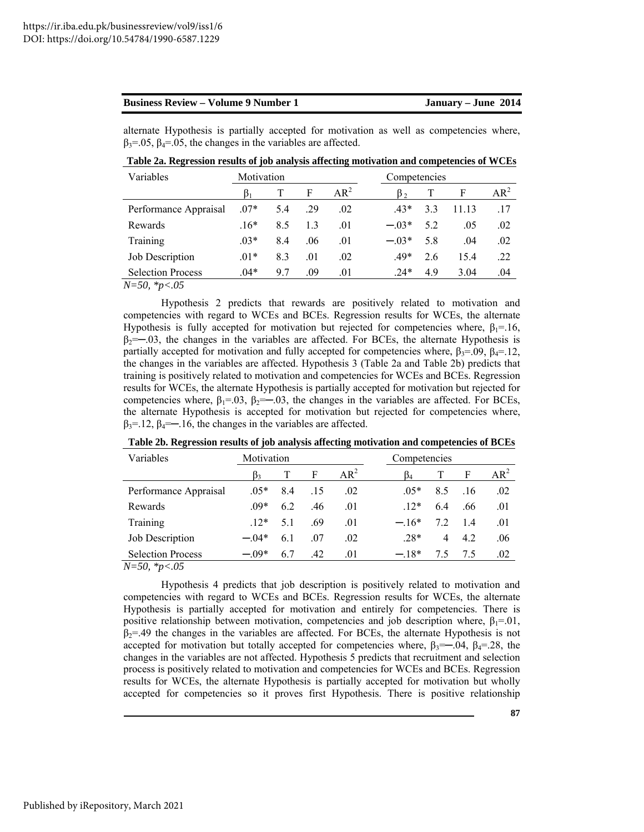alternate Hypothesis is partially accepted for motivation as well as competencies where,  $\beta_3$ =.05,  $\beta_4$ =.05, the changes in the variables are affected.

**Table 2a. Regression results of job analysis affecting motivation and competencies of WCEs** 

| Variables                | Motivation |     |     |        | Competencies |     |       |        |
|--------------------------|------------|-----|-----|--------|--------------|-----|-------|--------|
|                          |            |     | F   | $AR^2$ | B٠           |     | F     | $AR^2$ |
| Performance Appraisal    | $.07*$     | 5.4 | .29 | .02    | $43*$        | 3.3 | 11.13 | .17    |
| Rewards                  | $16*$      | 85  | 1.3 | .01    | $-03*$       | 52  | .05   | .02    |
| Training                 | $03*$      | 84  | .06 | .01    | $-03*$       | 5.8 | .04   | .02    |
| Job Description          | $01*$      | 83  | .01 | .02    | $.49*$       | 2.6 | 154   | .22    |
| <b>Selection Process</b> | $.04*$     | 97  | .09 | .01    | $.24*$       | 4.9 | 3.04  | .04    |

*N=50, \*p<.05*

Hypothesis 2 predicts that rewards are positively related to motivation and competencies with regard to WCEs and BCEs. Regression results for WCEs, the alternate Hypothesis is fully accepted for motivation but rejected for competencies where,  $\beta_1 = 16$ ,  $\beta_2 = -0.03$ , the changes in the variables are affected. For BCEs, the alternate Hypothesis is partially accepted for motivation and fully accepted for competencies where,  $\beta_3 = .09$ ,  $\beta_4 = .12$ , the changes in the variables are affected. Hypothesis 3 (Table 2a and Table 2b) predicts that training is positively related to motivation and competencies for WCEs and BCEs. Regression results for WCEs, the alternate Hypothesis is partially accepted for motivation but rejected for competencies where,  $\beta_1 = 0.03$ ,  $\beta_2 = -0.03$ , the changes in the variables are affected. For BCEs, the alternate Hypothesis is accepted for motivation but rejected for competencies where,  $\beta_3$ =.12,  $\beta_4$ =—.16, the changes in the variables are affected.

| Variables                                              | Motivation |     |     |        | Competencies  |     |        |
|--------------------------------------------------------|------------|-----|-----|--------|---------------|-----|--------|
|                                                        | B٩         |     | F   | $AR^2$ | $\beta_4$     | F   | $AR^2$ |
| Performance Appraisal                                  | $0.5*$     | 84  | .15 | .02    | $0.5*$<br>8.5 | .16 | .02    |
| Rewards                                                | $09*$      | 62  | .46 | .01    | $12*$<br>6.4  | .66 | .01    |
| Training                                               | $12*$      | 51  | -69 | .01    | $-16*$<br>72  | 14  | .01    |
| Job Description                                        | $-04*$     | 6.1 | .07 | .02    | 28*<br>4      | 4.2 | .06    |
| <b>Selection Process</b><br>$\cdots$ $\cdots$ $\alpha$ | $-09*$     | 67  | .42 | .01    | $-18*$<br>75  | 7.5 | .02    |

**Table 2b. Regression results of job analysis affecting motivation and competencies of BCEs** 

*N=50, \*p<.05*

Hypothesis 4 predicts that job description is positively related to motivation and competencies with regard to WCEs and BCEs. Regression results for WCEs, the alternate Hypothesis is partially accepted for motivation and entirely for competencies. There is positive relationship between motivation, competencies and job description where,  $\beta_1 = 01$ ,  $\beta_2$ =.49 the changes in the variables are affected. For BCEs, the alternate Hypothesis is not accepted for motivation but totally accepted for competencies where,  $\beta_3 = -0.04$ ,  $\beta_4 = 0.28$ , the changes in the variables are not affected. Hypothesis 5 predicts that recruitment and selection process is positively related to motivation and competencies for WCEs and BCEs. Regression results for WCEs, the alternate Hypothesis is partially accepted for motivation but wholly accepted for competencies so it proves first Hypothesis. There is positive relationship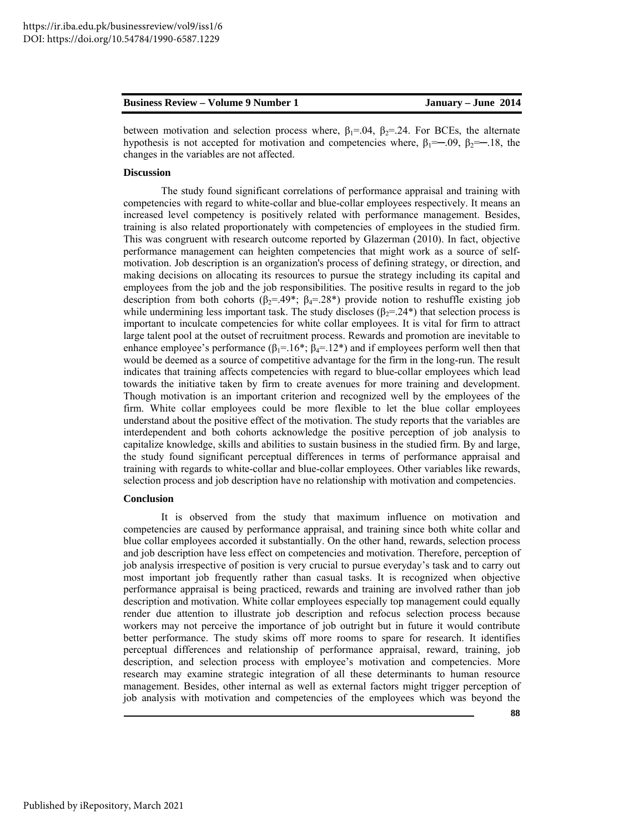| <b>Business Review – Volume 9 Number 1</b> | January – June 2014 |
|--------------------------------------------|---------------------|
|--------------------------------------------|---------------------|

between motivation and selection process where,  $\beta_1 = .04$ ,  $\beta_2 = .24$ . For BCEs, the alternate hypothesis is not accepted for motivation and competencies where,  $\beta_1 = -0.09$ ,  $\beta_2 = -1.18$ , the

### **Discussion**

changes in the variables are not affected.

The study found significant correlations of performance appraisal and training with competencies with regard to white-collar and blue-collar employees respectively. It means an increased level competency is positively related with performance management. Besides, training is also related proportionately with competencies of employees in the studied firm. This was congruent with research outcome reported by Glazerman (2010). In fact, objective performance management can heighten competencies that might work as a source of selfmotivation. Job description is an organization's process of defining strategy, or direction, and making decisions on allocating its resources to pursue the strategy including its capital and employees from the job and the job responsibilities. The positive results in regard to the job description from both cohorts ( $\beta_2$ =.49\*;  $\beta_4$ =.28\*) provide notion to reshuffle existing job while undermining less important task. The study discloses ( $\beta_2$ =.24\*) that selection process is important to inculcate competencies for white collar employees. It is vital for firm to attract large talent pool at the outset of recruitment process. Rewards and promotion are inevitable to enhance employee's performance  $(\beta_1 = 16^*; \beta_4 = 12^*)$  and if employees perform well then that would be deemed as a source of competitive advantage for the firm in the long-run. The result indicates that training affects competencies with regard to blue-collar employees which lead towards the initiative taken by firm to create avenues for more training and development. Though motivation is an important criterion and recognized well by the employees of the firm. White collar employees could be more flexible to let the blue collar employees understand about the positive effect of the motivation. The study reports that the variables are interdependent and both cohorts acknowledge the positive perception of job analysis to capitalize knowledge, skills and abilities to sustain business in the studied firm. By and large, the study found significant perceptual differences in terms of performance appraisal and training with regards to white-collar and blue-collar employees. Other variables like rewards, selection process and job description have no relationship with motivation and competencies.

#### **Conclusion**

It is observed from the study that maximum influence on motivation and competencies are caused by performance appraisal, and training since both white collar and blue collar employees accorded it substantially. On the other hand, rewards, selection process and job description have less effect on competencies and motivation. Therefore, perception of job analysis irrespective of position is very crucial to pursue everyday's task and to carry out most important job frequently rather than casual tasks. It is recognized when objective performance appraisal is being practiced, rewards and training are involved rather than job description and motivation. White collar employees especially top management could equally render due attention to illustrate job description and refocus selection process because workers may not perceive the importance of job outright but in future it would contribute better performance. The study skims off more rooms to spare for research. It identifies perceptual differences and relationship of performance appraisal, reward, training, job description, and selection process with employee's motivation and competencies. More research may examine strategic integration of all these determinants to human resource management. Besides, other internal as well as external factors might trigger perception of job analysis with motivation and competencies of the employees which was beyond the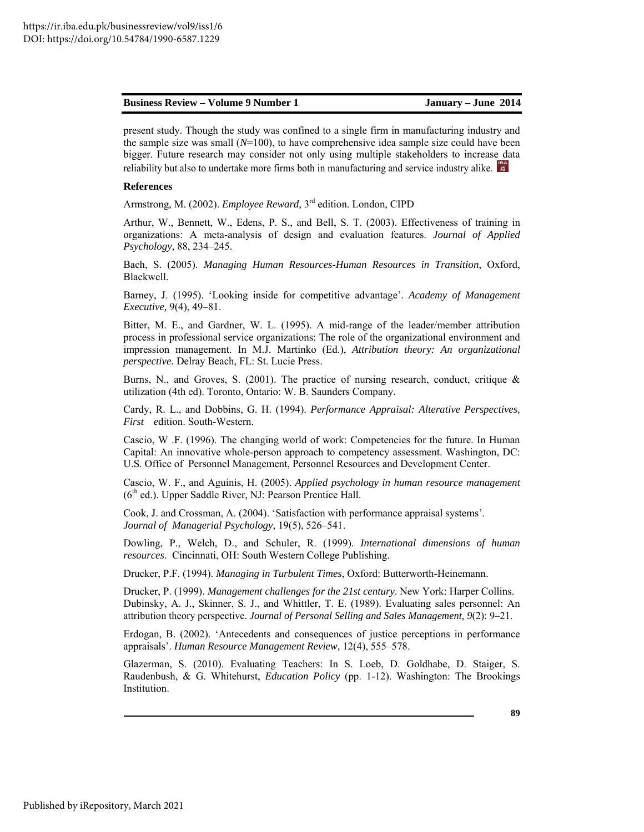present study. Though the study was confined to a single firm in manufacturing industry and the sample size was small  $(N=100)$ , to have comprehensive idea sample size could have been bigger. Future research may consider not only using multiple stakeholders to increase data reliability but also to undertake more firms both in manufacturing and service industry alike.

### **References**

Armstrong, M. (2002). *Employee Reward*, 3rd edition. London, CIPD

Arthur, W., Bennett, W., Edens, P. S., and Bell, S. T. (2003). Effectiveness of training in organizations: A meta-analysis of design and evaluation features. *Journal of Applied Psychology,* 88, 234–245.

Bach, S. (2005). *Managing Human Resources-Human Resources in Transition*, Oxford, Blackwell.

Barney, J. (1995). 'Looking inside for competitive advantage'. *Academy of Management Executive,* 9(4), 49–81.

Bitter, M. E., and Gardner, W. L. (1995). A mid-range of the leader/member attribution process in professional service organizations: The role of the organizational environment and impression management. In M.J. Martinko (Ed.), *Attribution theory: An organizational perspective.* Delray Beach, FL: St. Lucie Press.

Burns, N., and Groves, S. (2001). The practice of nursing research, conduct, critique & utilization (4th ed). Toronto, Ontario: W. B. Saunders Company.

Cardy, R. L., and Dobbins, G. H. (1994). *Performance Appraisal: Alterative Perspectives, First e*dition. South-Western.

Cascio, W .F. (1996). The changing world of work: Competencies for the future. In Human Capital: An innovative whole-person approach to competency assessment. Washington, DC: U.S. Office of Personnel Management, Personnel Resources and Development Center.

Cascio, W. F., and Aguinis, H. (2005). *Applied psychology in human resource management*   $(6<sup>th</sup>$  ed.). Upper Saddle River, NJ: Pearson Prentice Hall.

Cook, J. and Crossman, A. (2004). 'Satisfaction with performance appraisal systems'. *Journal of Managerial Psychology,* 19(5), 526–541.

Dowling, P., Welch, D., and Schuler, R. (1999). *International dimensions of human resources*. Cincinnati, OH: South Western College Publishing.

Drucker, P.F. (1994). *Managing in Turbulent Times*, Oxford: Butterworth-Heinemann.

Drucker, P. (1999). *Management challenges for the 21st century*. New York: Harper Collins. Dubinsky, A. J., Skinner, S. J., and Whittler, T. E. (1989). Evaluating sales personnel: An attribution theory perspective. *Journal of Personal Selling and Sales Management, 9*(2): 9–21.

Erdogan, B. (2002). 'Antecedents and consequences of justice perceptions in performance appraisals'. *Human Resource Management Review,* 12(4), 555–578.

Glazerman, S. (2010). Evaluating Teachers: In S. Loeb, D. Goldhabe, D. Staiger, S. Raudenbush, & G. Whitehurst, *Education Policy* (pp. 1-12). Washington: The Brookings Institution.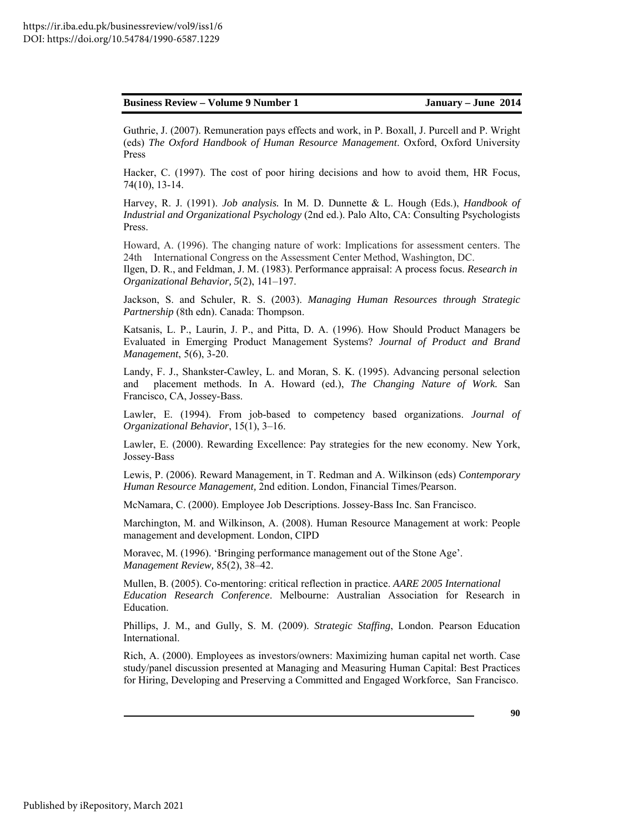Guthrie, J. (2007). Remuneration pays effects and work, in P. Boxall, J. Purcell and P. Wright (eds) *The Oxford Handbook of Human Resource Management*. Oxford, Oxford University Press

Hacker, C. (1997). The cost of poor hiring decisions and how to avoid them, HR Focus, 74(10), 13-14.

Harvey, R. J. (1991). *Job analysis.* In M. D. Dunnette & L. Hough (Eds.), *Handbook of Industrial and Organizational Psychology* (2nd ed.). Palo Alto, CA: Consulting Psychologists Press.

Howard, A. (1996). The changing nature of work: Implications for assessment centers. The 24th International Congress on the Assessment Center Method, Washington, DC.

Ilgen, D. R., and Feldman, J. M. (1983). Performance appraisal: A process focus. *Research in Organizational Behavior, 5*(2), 141–197.

Jackson, S. and Schuler, R. S. (2003). *Managing Human Resources through Strategic Partnership* (8th edn). Canada: Thompson.

Katsanis, L. P., Laurin, J. P., and Pitta, D. A. (1996). How Should Product Managers be Evaluated in Emerging Product Management Systems? *Journal of Product and Brand Management*, 5(6), 3-20.

Landy, F. J., Shankster-Cawley, L. and Moran, S. K. (1995). Advancing personal selection and placement methods. In A. Howard (ed.), *The Changing Nature of Work.* San Francisco, CA, Jossey-Bass.

Lawler, E. (1994). From job-based to competency based organizations. *Journal of Organizational Behavior*, 15(1), 3–16.

Lawler, E. (2000). Rewarding Excellence: Pay strategies for the new economy. New York, Jossey-Bass

Lewis, P. (2006). Reward Management, in T. Redman and A. Wilkinson (eds) *Contemporary Human Resource Management,* 2nd edition. London, Financial Times/Pearson.

McNamara, C. (2000). Employee Job Descriptions. Jossey-Bass Inc. San Francisco.

Marchington, M. and Wilkinson, A. (2008). Human Resource Management at work: People management and development. London, CIPD

Moravec, M. (1996). 'Bringing performance management out of the Stone Age'. *Management Review,* 85(2), 38–42.

Mullen, B. (2005). Co-mentoring: critical reflection in practice. *AARE 2005 International Education Research Conference*. Melbourne: Australian Association for Research in Education.

Phillips, J. M., and Gully, S. M. (2009). *Strategic Staffing*, London. Pearson Education International.

Rich, A. (2000). Employees as investors/owners: Maximizing human capital net worth. Case study/panel discussion presented at Managing and Measuring Human Capital: Best Practices for Hiring, Developing and Preserving a Committed and Engaged Workforce, San Francisco.